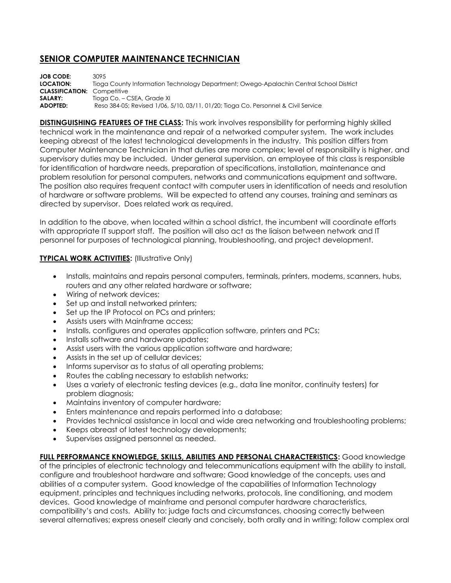## **SENIOR COMPUTER MAINTENANCE TECHNICIAN**

**JOB CODE:** 3095 **LOCATION:** Tioga County Information Technology Department; Owego-Apalachin Central School District **CLASSIFICATION:** Competitive **SALARY:** Tioga Co. – CSEA, Grade XI **ADOPTED:** Reso 384-05; Revised 1/06, 5/10, 03/11, 01/20; Tioga Co. Personnel & Civil Service

**DISTINGUISHING FEATURES OF THE CLASS:** This work involves responsibility for performing highly skilled technical work in the maintenance and repair of a networked computer system. The work includes keeping abreast of the latest technological developments in the industry. This position differs from Computer Maintenance Technician in that duties are more complex; level of responsibility is higher, and supervisory duties may be included. Under general supervision, an employee of this class is responsible for identification of hardware needs, preparation of specifications, installation, maintenance and problem resolution for personal computers, networks and communications equipment and software. The position also requires frequent contact with computer users in identification of needs and resolution of hardware or software problems. Will be expected to attend any courses, training and seminars as directed by supervisor. Does related work as required.

In addition to the above, when located within a school district, the incumbent will coordinate efforts with appropriate IT support staff. The position will also act as the liaison between network and IT personnel for purposes of technological planning, troubleshooting, and project development.

## **TYPICAL WORK ACTIVITIES: (Illustrative Only)**

- Installs, maintains and repairs personal computers, terminals, printers, modems, scanners, hubs, routers and any other related hardware or software;
- Wiring of network devices;
- Set up and install networked printers;
- Set up the IP Protocol on PCs and printers;
- Assists users with Mainframe access;
- Installs, configures and operates application software, printers and PCs;
- Installs software and hardware updates;
- Assist users with the various application software and hardware;
- Assists in the set up of cellular devices;
- Informs supervisor as to status of all operating problems;
- Routes the cabling necessary to establish networks;
- Uses a variety of electronic testing devices (e.g., data line monitor, continuity testers) for problem diagnosis;
- Maintains inventory of computer hardware;
- Enters maintenance and repairs performed into a database;
- Provides technical assistance in local and wide area networking and troubleshooting problems;
- Keeps abreast of latest technology developments;
- Supervises assigned personnel as needed.

**FULL PERFORMANCE KNOWLEDGE, SKILLS, ABILITIES AND PERSONAL CHARACTERISTICS:** Good knowledge

of the principles of electronic technology and telecommunications equipment with the ability to install, configure and troubleshoot hardware and software; Good knowledge of the concepts, uses and abilities of a computer system. Good knowledge of the capabilities of Information Technology equipment, principles and techniques including networks, protocols, line conditioning, and modem devices. Good knowledge of mainframe and personal computer hardware characteristics, compatibility's and costs. Ability to: judge facts and circumstances, choosing correctly between several alternatives; express oneself clearly and concisely, both orally and in writing; follow complex oral